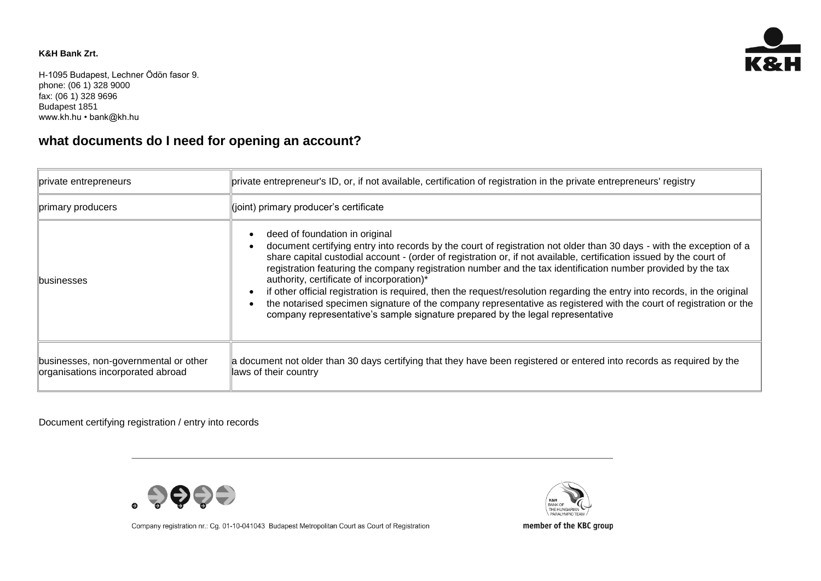## **K&H Bank Zrt.**

H-1095 Budapest, Lechner Ödön fasor 9. phone: (06 1) 328 9000 fax: (06 1) 328 9696 Budapest 1851 www.kh.hu • bank@kh.hu

## **what documents do I need for opening an account?**

| private entrepreneurs                                                      | private entrepreneur's ID, or, if not available, certification of registration in the private entrepreneurs' registry                                                                                                                                                                                                                                                                                                                                                                                                                                                                                                                                                                                                                                                           |
|----------------------------------------------------------------------------|---------------------------------------------------------------------------------------------------------------------------------------------------------------------------------------------------------------------------------------------------------------------------------------------------------------------------------------------------------------------------------------------------------------------------------------------------------------------------------------------------------------------------------------------------------------------------------------------------------------------------------------------------------------------------------------------------------------------------------------------------------------------------------|
| primary producers                                                          | $\parallel$ (joint) primary producer's certificate                                                                                                                                                                                                                                                                                                                                                                                                                                                                                                                                                                                                                                                                                                                              |
| <b>Ibusinesses</b>                                                         | deed of foundation in original<br>document certifying entry into records by the court of registration not older than 30 days - with the exception of a<br>share capital custodial account - (order of registration or, if not available, certification issued by the court of<br>registration featuring the company registration number and the tax identification number provided by the tax<br>authority, certificate of incorporation)*<br>if other official registration is required, then the request/resolution regarding the entry into records, in the original<br>the notarised specimen signature of the company representative as registered with the court of registration or the<br>company representative's sample signature prepared by the legal representative |
| businesses, non-governmental or other<br>organisations incorporated abroad | a document not older than 30 days certifying that they have been registered or entered into records as required by the<br>laws of their country                                                                                                                                                                                                                                                                                                                                                                                                                                                                                                                                                                                                                                 |

Document certifying registration / entry into records



K&H BANK OF THE HUNGARIAN

Company registration nr.: Cg. 01-10-041043 Budapest Metropolitan Court as Court of Registration



member of the KBC group